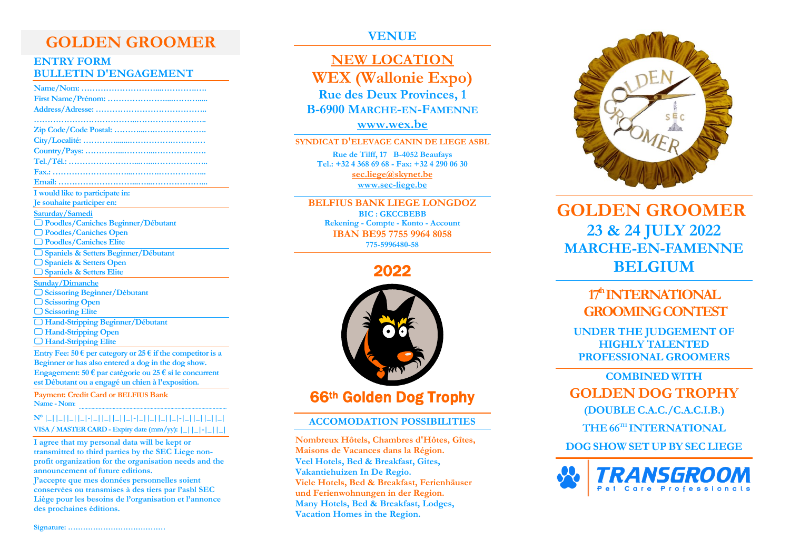# **GOLDEN GROOMER**

## **ENTRY FORM BULLETIN D'ENGAGEMENT**

| I would like to participate in:                                               |
|-------------------------------------------------------------------------------|
| Je souhaite participer en:                                                    |
| Saturday/Samedi                                                               |
| O Poodles/Caniches Beginner/Débutant                                          |
| □ Poodles/Caniches Open                                                       |
| □ Poodles/Caniches Elite                                                      |
| □ Spaniels & Setters Beginner/Débutant                                        |
| □ Spaniels & Setters Open                                                     |
| □ Spaniels & Setters Elite                                                    |
| <b>Sunday/Dimanche</b>                                                        |
| <b>Scissoring Beginner/Débutant</b>                                           |
| $\Box$ Scissoring Open                                                        |
| □ Scissoring Elite                                                            |
| □ Hand-Stripping Beginner/Débutant                                            |
| □ Hand-Stripping Open                                                         |
| <b>Hand-Stripping Elite</b>                                                   |
| Entry Fee: 50 $\epsilon$ per category or 25 $\epsilon$ if the competitor is a |
| Beginner or has also entered a dog in the dog show.                           |

**Engagement: 50 € par catégorie ou 25 € si le concurrent est Débutant ou a engagé un chien à l'exposition.**

**Payment: Credit Card or BELFIUS Bank Name - Nom**: .........................................................................................................

### **N° |\_||\_||\_||\_|-|\_||\_||\_||\_|-|\_||\_||\_||\_|-|\_||\_||\_||\_| VISA / MASTER CARD - Expiry date (mm/yy): |\_||\_|-|\_||\_|**

**I agree that my personal data will be kept or transmitted to third parties by the SEC Liege nonprofit organization for the organisation needs and the announcement of future editions.**

**J'accepte que mes données personnelles soient conservées ou transmises à des tiers par l'asbl SEC Liège pour les besoins de l'organisation et l'annonce des prochaines éditions.**

**VENUE**

# **NEW LOCATION WEX (Wallonie Expo) Rue des Deux Provinces, 1 B-6900 MARCHE-EN-FAMENNE [www.wex.be](https://www.wex.be/)**

#### **SYNDICAT D'ELEVAGE CANIN DE LIEGE ASBL**

**Rue de Tilff, 17 B-4052 Beaufays Tel.: +32 4 368 69 68 - Fax: +32 4 290 06 30 [sec.liege@skynet.be](mailto:sec.liege@skynet.be) [www.sec-liege.be](http://www.sec-liege.be/)**

**BELFIUS BANK LIEGE LONGDOZ BIC : GKCCBEBB Rekening - Compte - Konto - Account IBAN BE95 7755 9964 8058 775-5996480-58**

2022



# 66th Golden Dog Trophy

 $\mathbf{r}$ 

### **ACCOMODATION POSSIBILITIES**

**Nombreux Hôtels, Chambres d'Hôtes, Gîtes, Maisons de Vacances dans la Région. Veel Hotels, Bed & Breakfast, Gites, Vakantiehuizen In De Regio. Viele Hotels, Bed & Breakfast, Ferienhäuser und Ferienwohnungen in der Region. Many Hotels, Bed & Breakfast, Lodges, Vacation Homes in the Region.**



**GOLDEN GROOMER 23 & 24 JULY 2022 MARCHE-EN-FAMENNE BELGIUM**

# **17 thINTERNATIONAL GROOMINGCONTEST**

**UNDER THE JUDGEMENT OF HIGHLY TALENTED PROFESSIONAL GROOMERS**

**COMBINED WITH GOLDEN DOG TROPHY (DOUBLE C.A.C./C.A.C.I.B.)**

**THE 66 TH INTERNATIONAL**

**DOG SHOW SETUPBY SECLIEGE**